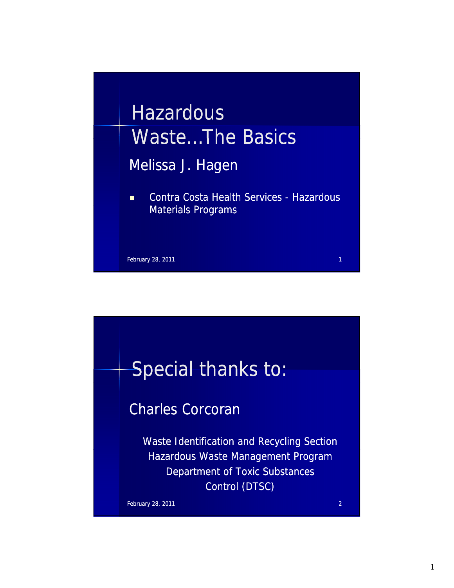

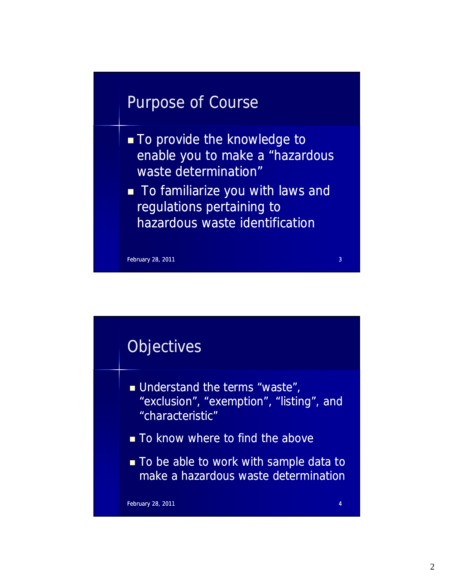# Purpose of Course

- To provide the knowledge to enable you to make a "hazardous waste determination"
- **To familiarize you with laws and** regulations pertaining to regulations pertaining hazardous waste identification

February 28, 2011 2011 3

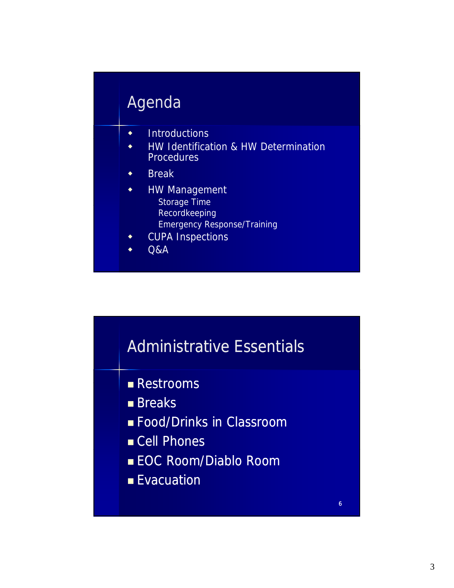# **Agenda**

- $\bullet$  Introductions
- HW Identification & HW Determination **Procedures**
- Break
- **+** HW Management Storage Time Recordkeeping Emergency Response/Training
- CUPA Inspections
- $\triangleleft$  Q&A

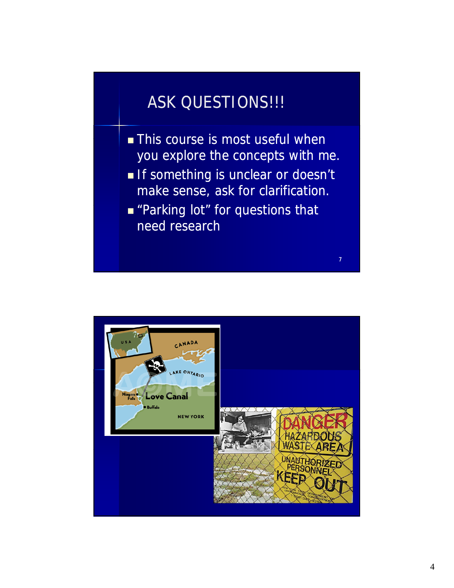# ASK QUESTIONS!!!

- $\blacksquare$  This course is most useful when you explore the concepts with me.
- If something is unclear or doesn't make sense, ask for clarification.

7

**Parking lot" for questions that** need research

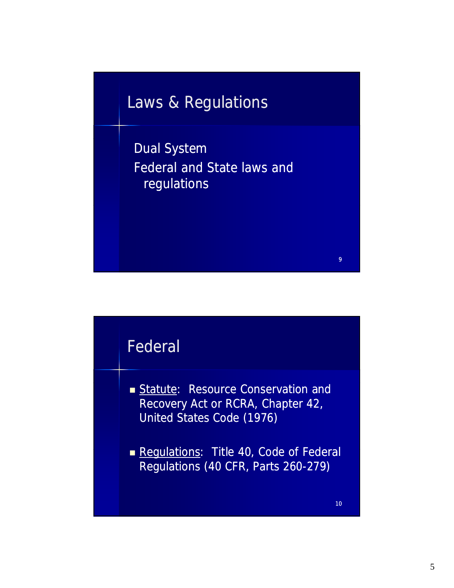# Laws & Regulations

Dual System Federal and State laws and regulations



- Statute: Resource Conservation and Recovery Act or RCRA, Chapter 42, United States Code (1976)
- Regulations: Title 40, Code of Federal Regulations (40 CFR, Parts 260-279)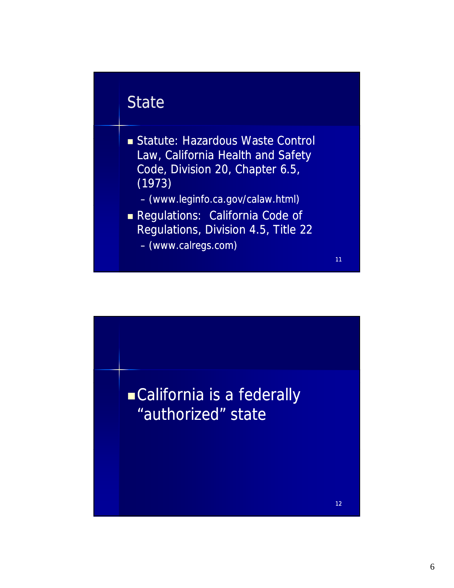# **State**

- Statute: Hazardous Waste Control Law, California Health and Safety Code, Division 20, Chapter 6.5, (1973)
	- (www.leginfo.ca.gov/calaw.html)
- Regulations: California Code of Regulations, Division 4.5, Title 22

11

– (www.calregs.com)

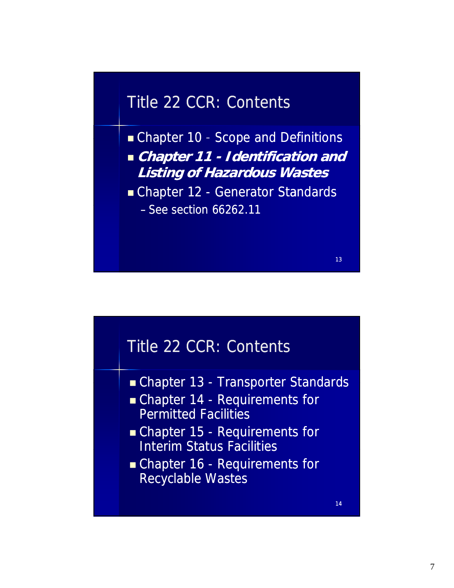# Title 22 CCR: Contents

Chapter 10 - Scope and Definitions **Chapter 11 - Identification and Listing of Hazardous Wastes**

■ Chapter 12 - Generator Standards

 $-$  See section 66262.11

# – See section 66262.11<br>Title 22 CCR: Contents

- Chapter 13 Transporter Standards
- Chapter 14 Requirements for Permitted Facilities
- Chapter 15 Requirements for Interim Status Facilities Interim Status
- Chapter 16 Requirements for Recyclable Wastes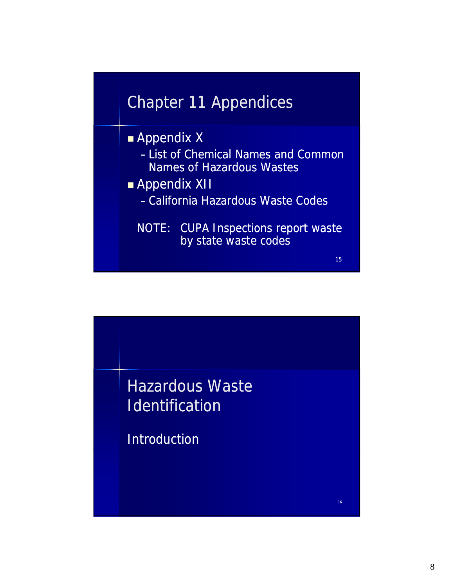



- List of Chemical Names and Common Names of Hazardous Wastes
- **Appendix XII** 
	- California Hazardous Waste Codes
	- NOTE: CUPA Inspections report waste by state waste codes



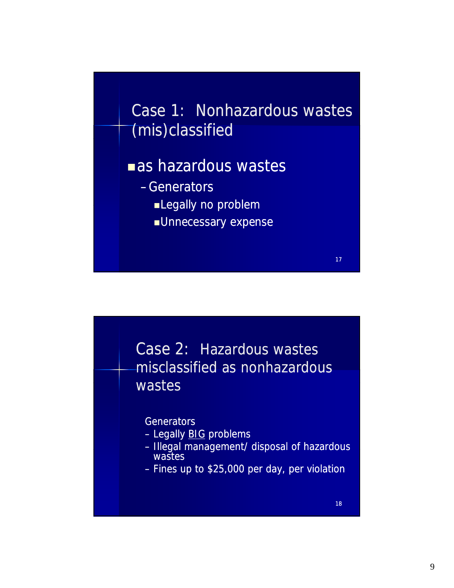



#### **Generators**

- Legally BIG problems
- Illegal management/ disposal of hazardous Illegal management/ disposal of wastes
- $-$  Fines up to \$25,000 per day, per violation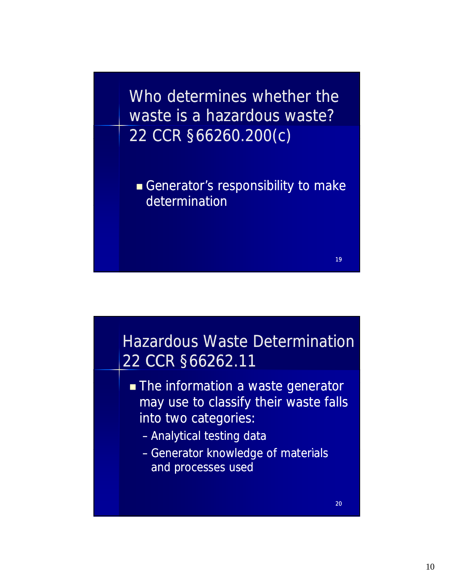Who determines whether the waste is a hazardous waste? 22 CCR §66260.200(c)

Generator's responsibility to make determination



- The information a waste generator may use to classify their waste falls into two categories:
	- Analytical testing data
	- Generator knowledge of materials and processes used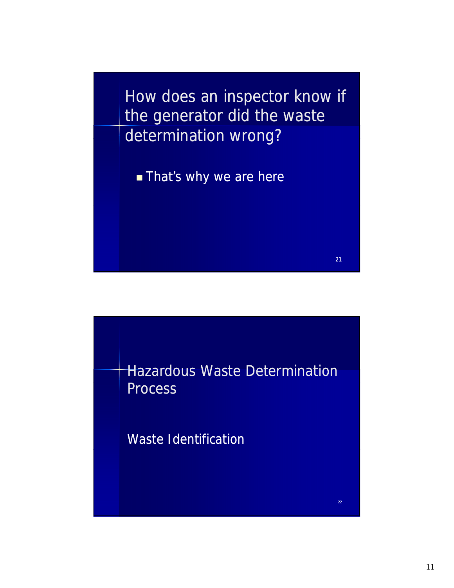How does an inspector know if the generator did the waste determination wrong?

**That's why we are here** 

Hazardous Waste Determination **Process** 

21

22

Waste Identification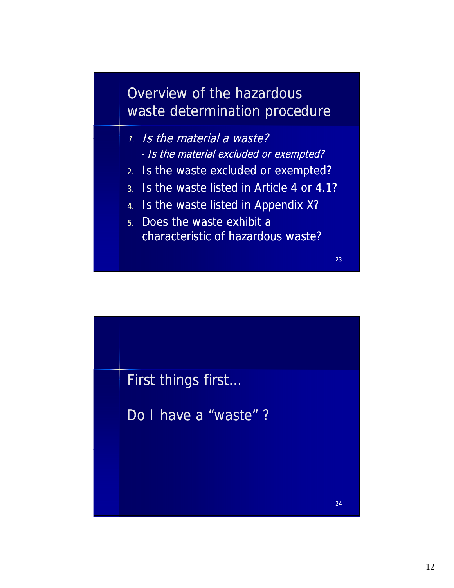# Overview of the hazardous waste determination procedure

- 1. Is the material a waste? - Is the material excluded or exempted?
- 2. Is the waste excluded or exempted?
- 3. Is the waste listed in Article 4 or 4.1?
- 4. Is the waste listed in Appendix X?
- 5. Does the waste exhibit a characteristic of hazardous waste?

23

24

First things first...

Do I have a "waste"?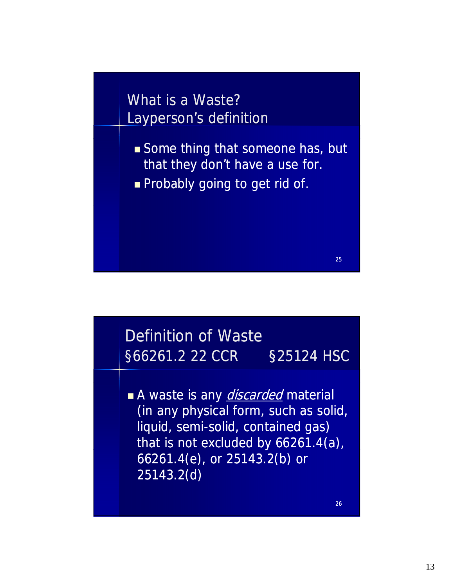What is a Waste? Layperson's definition

- Some thing that someone has, but that they don't have a use for.
- **Probably going to get rid of.**

# Definition of Waste §66261.2 22 CCR §25124 HSC

A waste is any *discarded* material (in any physical form, such as solid, liquid, semi-solid, contained gas) that is not excluded by 66261.4(a),<br>66261.4(e), or 25143.2(b) or 25143.2(d)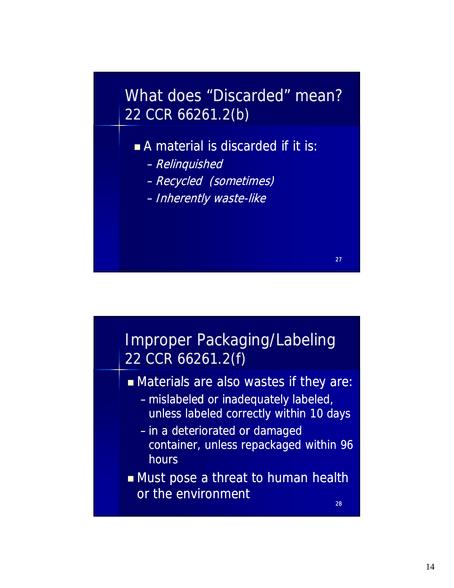# What does "Discarded" mean? 22 CCR 66261.2(b)

■ A material is discarded if it is:

- –Relinquished
- –Recycled (sometimes)
- Inherently waste-like

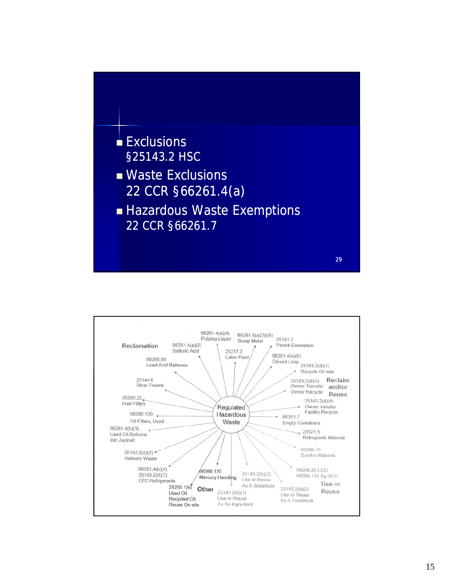

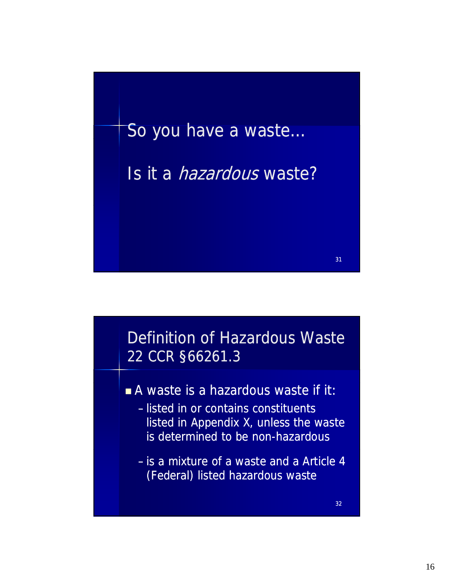



- A waste is a hazardous waste if it:
	- listed in or contains constituents listed in Appendix X, unless the waste is determined to be non-hazardous
	- is a mixture of a waste and a Article 4 (Federal) listed hazardous waste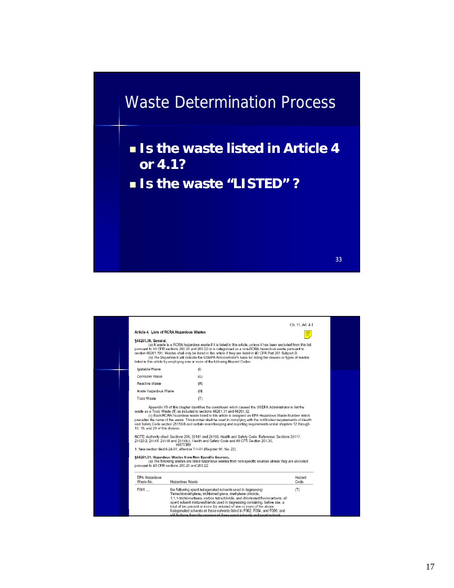# Waste Determination Process

**Is the waste listed in Article 4 or 4.1?** 

**Is the waste "LISTED" ?** 

| §66261.30. General.               | Article 4. Lists of RCRA Hazardous Wastes<br>(a) A waste is a RCRA hazardous waste if it is listed in this article, unless it has been excluded from this list<br>pursuant to 40 CFR sections 260.20 and 260.22 or is categorized as a non-RCRA hazardous waste pursuant to                                                                                                                                                                                                                                                                                                                                                                                                                                                                                                                                                                                                                                                                      | Ch. 11. Art. 4-1 |
|-----------------------------------|--------------------------------------------------------------------------------------------------------------------------------------------------------------------------------------------------------------------------------------------------------------------------------------------------------------------------------------------------------------------------------------------------------------------------------------------------------------------------------------------------------------------------------------------------------------------------------------------------------------------------------------------------------------------------------------------------------------------------------------------------------------------------------------------------------------------------------------------------------------------------------------------------------------------------------------------------|------------------|
|                                   | section 66261.101. Wastes shall only be listed in this article if they are listed in 40 CFR Part 261 Subpart D.<br>(b) The Department will indicate the USEPA Administrator's basis for listing the classes or types of wastes<br>listed in this article by employing one or more of the following Hazard Codes:                                                                                                                                                                                                                                                                                                                                                                                                                                                                                                                                                                                                                                 |                  |
| Ignitable Waste                   | (1)                                                                                                                                                                                                                                                                                                                                                                                                                                                                                                                                                                                                                                                                                                                                                                                                                                                                                                                                              |                  |
| Corrosive Waste                   | (C)                                                                                                                                                                                                                                                                                                                                                                                                                                                                                                                                                                                                                                                                                                                                                                                                                                                                                                                                              |                  |
| Reactive Waste                    | (R)                                                                                                                                                                                                                                                                                                                                                                                                                                                                                                                                                                                                                                                                                                                                                                                                                                                                                                                                              |                  |
| Acute Hazardous Waste             | (H)                                                                                                                                                                                                                                                                                                                                                                                                                                                                                                                                                                                                                                                                                                                                                                                                                                                                                                                                              |                  |
| Toxic Waste                       | (T)                                                                                                                                                                                                                                                                                                                                                                                                                                                                                                                                                                                                                                                                                                                                                                                                                                                                                                                                              |                  |
| 15, 18, and 20 of this division.  | waste as a Toxic Waste (T) as included in sections 66261.31 and 66261.32.<br>(c) Each RCRA hazardous waste listed in this article is assigned an EPA Hazardous Waste Number which<br>precedes the name of the waste. This number shall be used in complying with the notification requirements of Health<br>and Safety Code section 25153.6 and certain recordkeeping and reporting requirements under chapters 12 through<br>NOTE: Authority cited: Sections 208, 25141 and 25159. Health and Safety Code, Reference: Sections 25117.<br>25120.2, 25141, 25159 and 25159.5, Health and Safety Code and 40 CFR Section 261.30.<br><b>HISTORY</b><br>1. New section filed 5-24-91; effective 7-1-91 (Register 91, No. 22).<br>§66261.31. Hazardous Wastes from Non-Specific Sources.<br>(a) The following wastes are listed hazardous wastes from non-specific sources unless they are excluded<br>pursuant to 40 CFR sections 260.20 and 260.22: |                  |
| <b>EPA Hazardous</b><br>Waste No. | Hazardous Waste                                                                                                                                                                                                                                                                                                                                                                                                                                                                                                                                                                                                                                                                                                                                                                                                                                                                                                                                  | Hazard<br>Code   |
| F001                              | the following spent halogenated solvents used in degreasing:<br>Tetrachloroethylene, trichloroethylene, methylene chloride,<br>1.1.1-trichloroethane, carbon tetrachloride, and chlorinated fluorocarbons; all<br>spent solvent mixtures/blends used in degreasing containing, before use, a<br>total of ten percent or more (by volume) of one or more of the above<br>halogenated solvents or those solvents listed in F002, F004, and F005; and<br>still bottoms from the recovery of these spent solvents and spent solvent.                                                                                                                                                                                                                                                                                                                                                                                                                 | (T)              |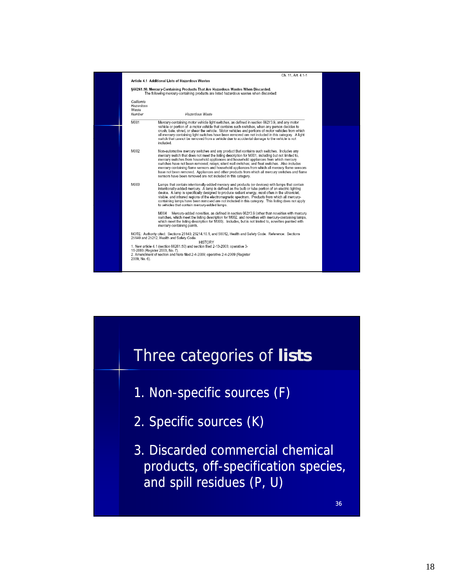

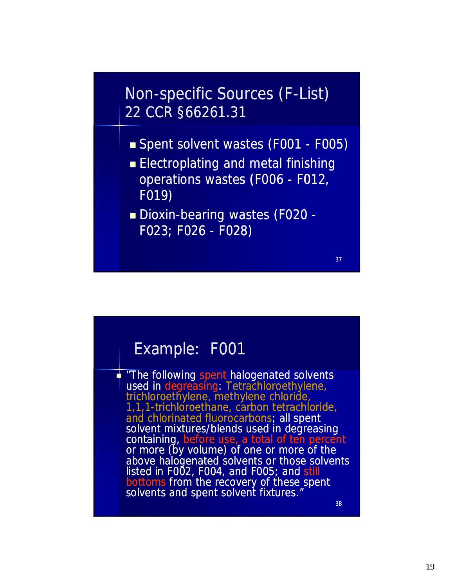# Non-specific Sources (F-List) 22 CCR §66261.31

- Spent solvent wastes (F001 F005)
- **Electroplating and metal finishing** operations wastes (F006 - F012, F019)
- Dioxin-bearing wastes (F020 -F023; F026 - F028)

#### Example: F001

The following spent halogenated solvents used in degreasing: Tetrachloroethylene, trichloroethylene, methylene chloride, 1,1,1-trichloroethane, carbon tetrachloride, and chlorinated fluorocarbons; all spent<br>solvent mixtures/blends used in degreasing containing, before use, a total of ten percent or more (by volume) of one or more of above halogenated solvents or those solvents listed in F002, F004, and F005; and still bottoms from the recovery of these spent solvents and spent solvent fixtures."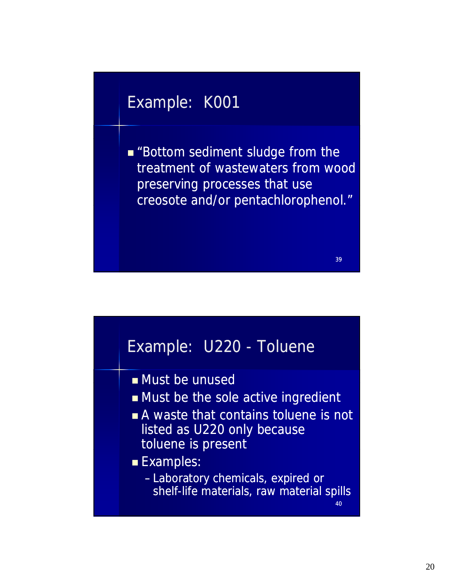# Example: K001

**Bottom sediment sludge from the** treatment of wastewaters from wood preserving processes that use creosote and/or pentachlorophenol."

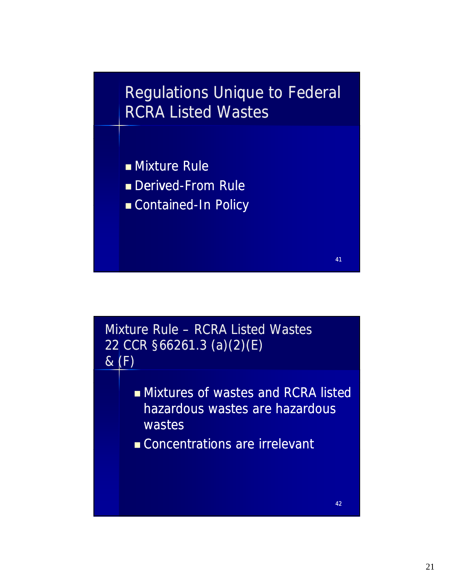# Regulations Unique to Federal RCRA Listed Wastes

- **Mixture Rule**
- Derived-From Rule
- Contained-In Policy Contained-In

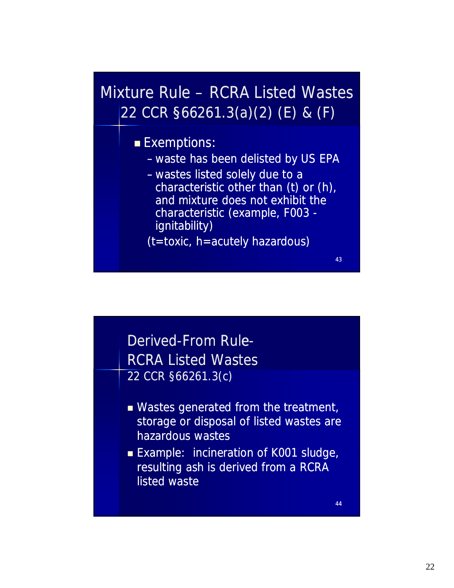# Mixture Rule – RCRA Listed Wastes 22 CCR §66261.3(a)(2) (E) & (F)

#### **Exemptions:**

- waste has been delisted by US EPA
- wastes listed solely due to a characteristic other than (t) or (h), and mixture does not exhibit the characteristic (example, F003 ignitability)

(t=toxic, h=acutely hazardous)

# Derived-From Rule-RCRA Listed Wastes 22 CCR §66261.3(c)

- **Nastes generated from the treatment,** storage or disposal of listed wastes are hazardous wastes
- **Example: incineration of K001 sludge,** resulting ash is derived from a RCRA listed waste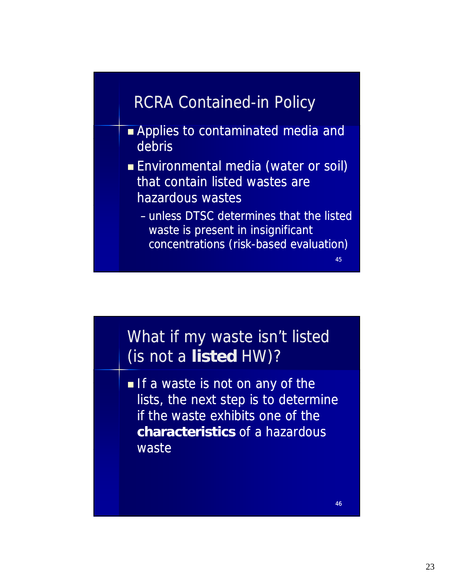# RCRA Contained-in Policy

- **Applies to contaminated media and** debris
- **Environmental media (water or soil)** that contain listed wastes are hazardous wastes
	- unless DTSC determines that the listed waste is present in insignificant concentrations (risk-based evaluation)

# What if my waste isn't listed (is not a **listed** HW)?

If a waste is not on any of the lists, the next step is to determine if the waste exhibits one of the **characteristics** of a hazardous waste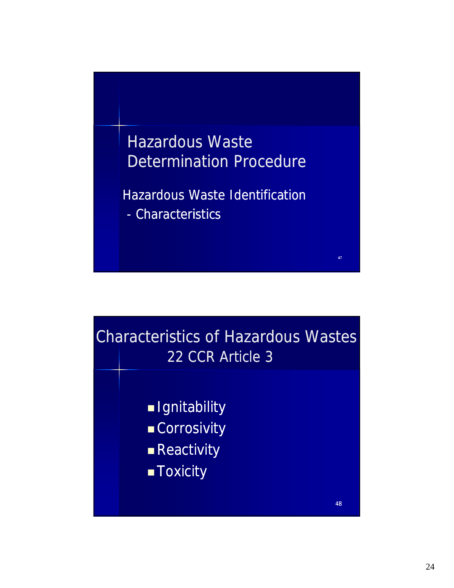

Hazardous Waste Identification

47

- Characteristics

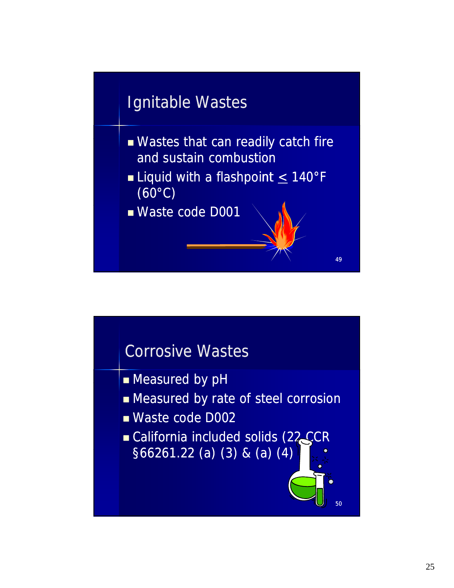# Ignitable Wastes

- $\blacksquare$  Wastes that can readily catch fire and sustain combustion
- **Liquid with a flashpoint**  $\leq 140^{\circ}$ **F** (60°C)

49

50

Waste code D001

# Corrosive Wastes

- **Measured by pH**
- **Exercise Measured by rate of steel corrosion**
- Waste code D002
- California included solids (22 CCR  $$66261.22$  (a) (3) & (a) (4)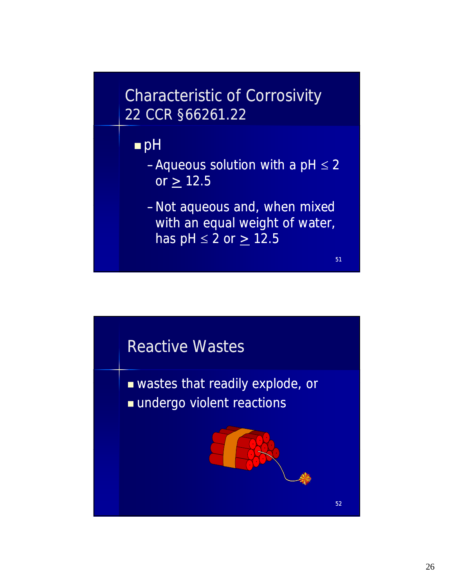# Characteristic of Corrosivity 22 CCR §66261.22

# **n** pH

- -Aqueous solution with a  $pH \le 2$ or  $\geq 12.5$
- -Not aqueous and, when mixed with an equal weight of water, has  $pH \le 2$  or  $\ge 12.5$

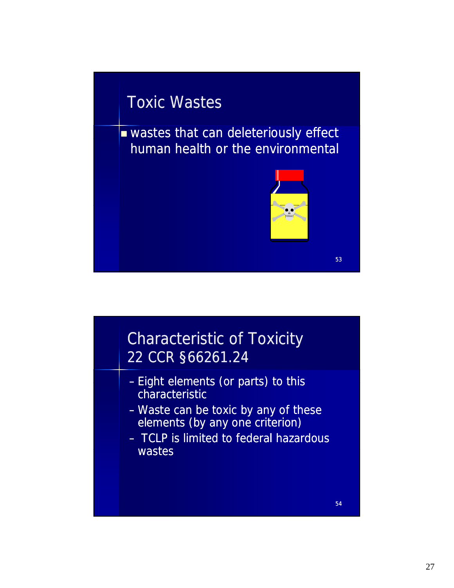# Toxic Wastes

wastes that can deleteriously effect human health or the environmental



# Characteristic of Toxicity 22 CCR §66261.24

- Eight elements (or parts) to this characteristic
- Waste can be toxic by any of these elements (by any one criterion)
- TCLP is limited to federal hazardous wastes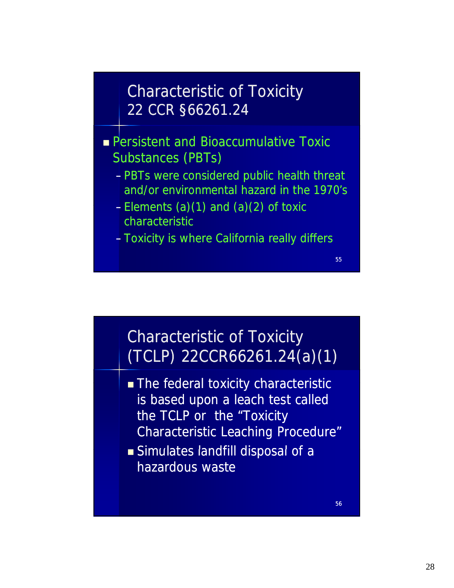# Characteristic of Toxicity 22 CCR §66261.24

 $\blacksquare$  Persistent and Bioaccumulative Toxic Substances (PBTs)

- PBTs were considered public health threat and/or environmental hazard in the 1970's
- Elements (a)(1) and (a)(2) of toxic Elements (a)(1) and (a)(2) of characteristic
- Toxicity is where California really differs

# Characteristic of Toxicity (TCLP) 22CCR66261.24(a)(1)

- The federal toxicity characteristic is based upon a leach test called the TCLP or the "Toxicity Characteristic Leaching Procedure"
- Simulates landfill disposal of a Simulates landfill disposal of hazardous waste

56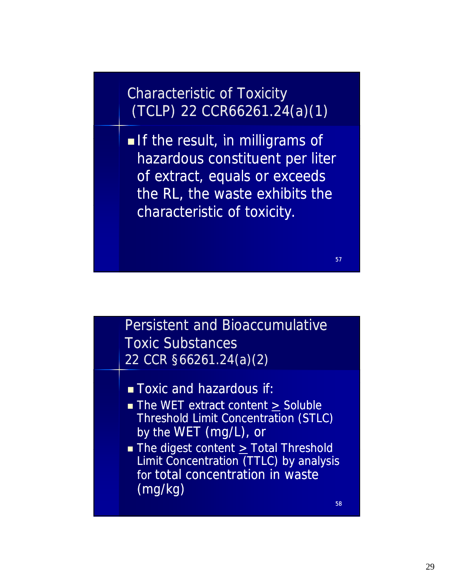# Characteristic of Toxicity (TCLP) 22 CCR66261.24(a)(1)

If the result, in milligrams of hazardous constituent per liter of extract, equals or exceeds the RL, the waste exhibits the characteristic of toxicity.

### Persistent and Bioaccumulative Toxic Substances 22 CCR §66261.24(a)(2)

- **Toxic and hazardous if:**
- The WET extract content > Soluble Threshold Limit Concentration (STLC) by the WET (mg/L), or
- The digest content  $\geq$  Total Threshold Limit Concentration (TTLC) by analysis for total concentration in waste (mg/kg)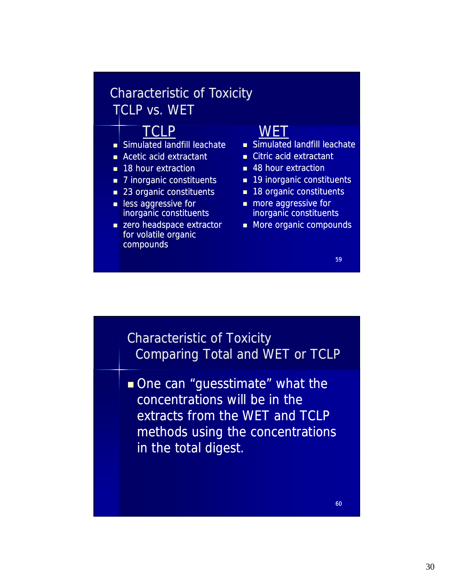#### Characteristic of Toxicity TCLP vs. WET

#### TCLP WET

- Simulated landfill leachate
- **Acetic acid extractant**
- **18 hour extraction**
- 7 inorganic constituents
- 23 organic constituents
- **Ress aggressive for** inorganic constituents
- **zero headspace extractor** for volatile organic compounds

- Simulated landfill leachate
- Citric acid extractant
- 48 hour extraction
- 19 inorganic constituents
- 18 organic constituents
- **n** more aggressive for inorganic constituents
- **More organic compounds**

#### 59

#### Characteristic of Toxicity Comparing Total and WET or TCLP

One can "guesstimate" what the concentrations will be in the extracts from the WET and TCLP methods using the concentrations in the total digest in the total digest.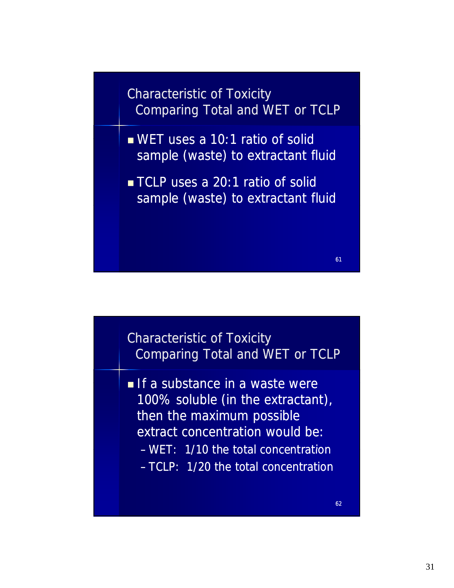Characteristic of Toxicity Comparing Total and WET or TCLP

- $WET$  uses a 10:1 ratio of solid sample (waste) to extractant fluid
- **TCLP** uses a 20:1 ratio of solid sample (waste) to extractant fluid

#### Characteristic of Toxicity Comparing Total and WET or TCLP

If a substance in a waste were 100% soluble (in the extractant), then the maximum possible extract concentration would be: WET: 1/10 the total concentration – WET: 1/10 the total – TCLP: 1/20 the total concentration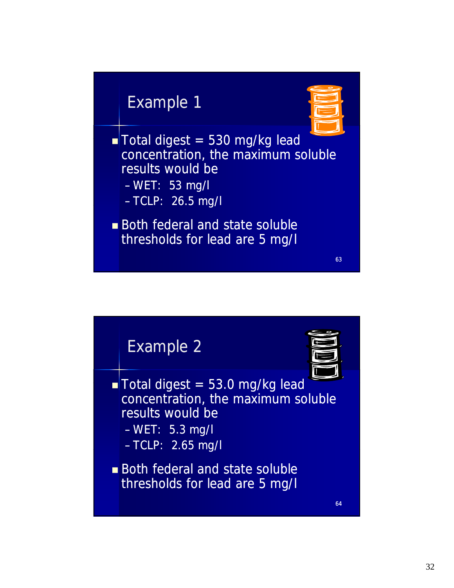# Example 1



63

 $\blacksquare$  Total digest = 530 mg/kg lead concentration, the maximum soluble results would be – WET: 53 mg/l

- TCLP: 26.5 mg/l TCLP: 26.5
- **Both federal and state soluble** thresholds for lead are 5 mg/l

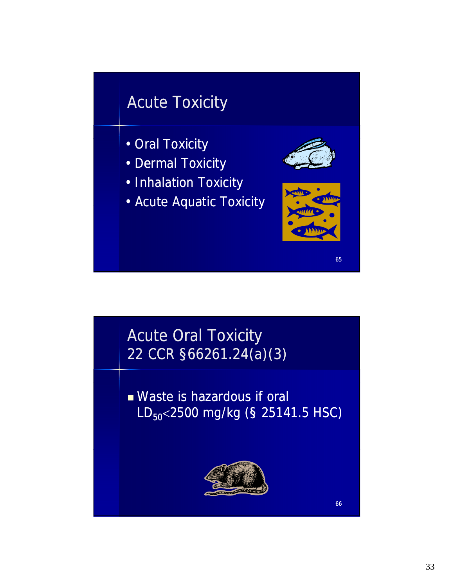# Acute Toxicity

- Oral Toxicity
- Dermal Toxicity
- Inhalation Toxicity
- Acute Aquatic Toxicity Acute Aquatic



65

# Acute Oral Toxicity 22 CCR §66261.24(a)(3)

 Waste is hazardous if oral  $LD_{50}$  < 2500 mg/kg (§ 25141.5 HSC)

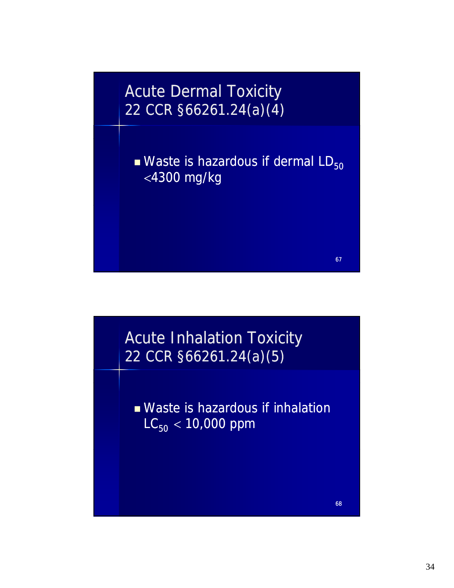

67

68



 Waste is hazardous if inhalation  $LC_{50}$  < 10,000 ppm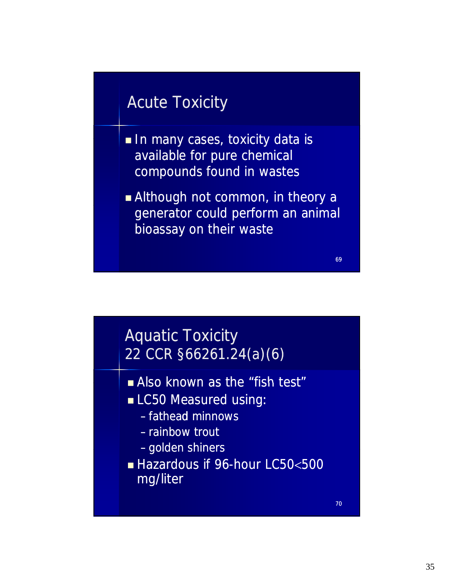# Acute Toxicity

- In many cases, toxicity data is available for pure chemical compounds found in wastes
- **Although not common, in theory a** generator could perform an animal bioassay on their waste

69

# Aquatic Toxicity 22 CCR §66261.24(a)(6)

- Also known as the "fish test"
- **LC50 Measured using:** 
	- fathead minnows
	- rainbow trout
	- golden shiners golden
- Hazardous if 96-hour LC50<500 mg/liter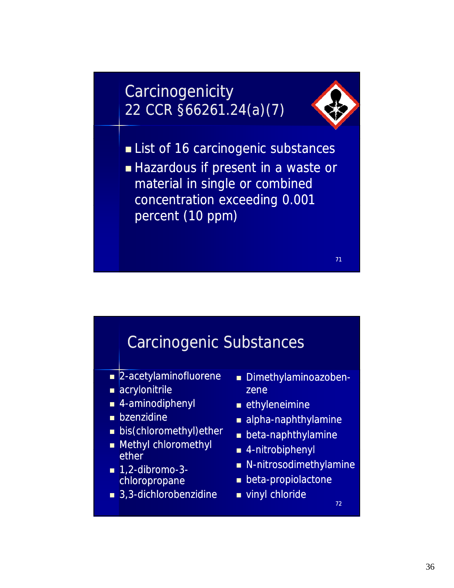# **Carcinogenicity** 22 CCR §66261.24(a)(7)



71

List of 16 carcinogenic substances

■ Hazardous if present in a waste or material in single or combined concentration exceeding 0.001 percent (10 ppm)

# Carcinogenic Substances

- **2-acetylaminofluorene** Dimethylaminoazoben-
- acrylonitrile
- $\blacksquare$  4-aminodiphenyl
- **bzenzidine**
- **bis(chloromethyl)ether**
- **Nethyl chloromethyl ether**
- $\blacksquare$  1.2-dibromo-3chloropropane
- $\blacksquare$  3,3-dichlorobenzidine
- zene
- **E** ethyleneimine
- $\blacksquare$  alpha-naphthylamine
- $\blacksquare$  beta-naphthylamine
- 4 nitrobiphenyl 4-nitrobiphenyl
- $\blacksquare$  N-nitrosodimethylamine
- $\blacksquare$  beta-propiolactone
- vinyl chloride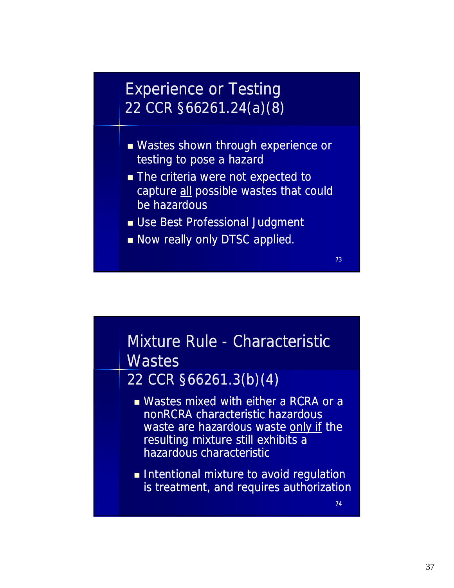# Experience or Testing 22 CCR §66261.24(a)(8)

- **Nastes shown through experience or** testing to pose a hazard
- **The criteria were not expected to** capture all possible wastes that could be hazardous be
- **Use Best Professional Judgment**
- Now really only DTSC applied.

# Mixture Rule - Characteristic **Wastes**

#### 22 CCR §66261.3(b)(4)

- Wastes mixed with either a RCRA or a nonRCRA characteristic hazardous waste are hazardous waste only if the resulting mixture still exhibits a hazardous characteristic
- **Intentional mixture to avoid regulation** is treatment, and requires authorization

74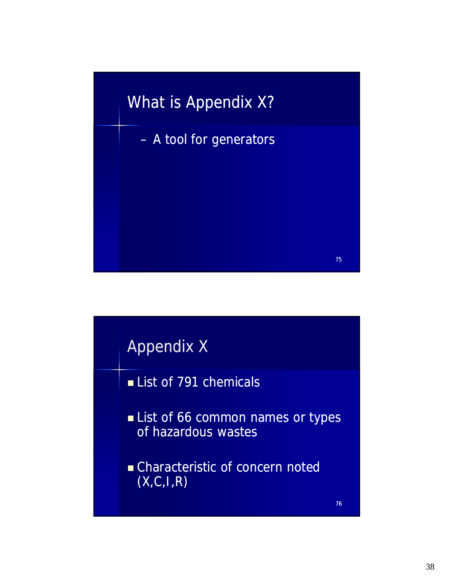

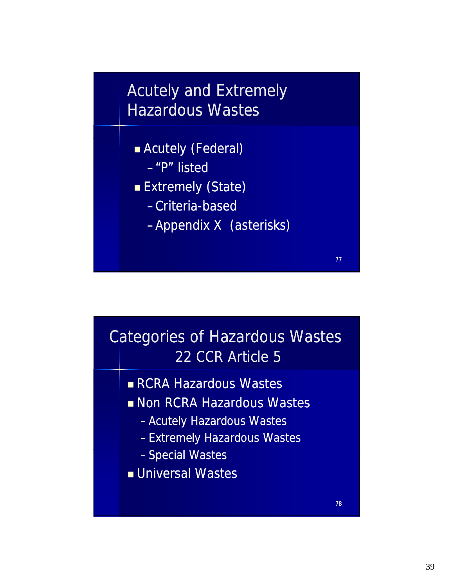# Acutely and Extremely Hazardous Wastes

- Acutely (Federal)
	- $-$ "P" listed
- **Extremely (State)** 
	- -Criteria-based
	- –Appendix X (asterisks)



- **RCRA Hazardous Wastes**
- **Non RCRA Hazardous Wastes** 
	- Acutely Hazardous Wastes
	- Extremely Hazardous Wastes
	- Special Wastes
- **Universal Wastes**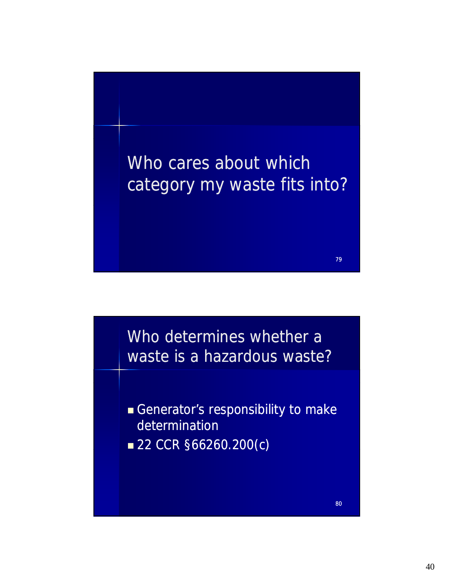

Who determines whether a waste is a hazardous waste?

- Generator's responsibility to make determination
- 22 CCR §66260.200(c)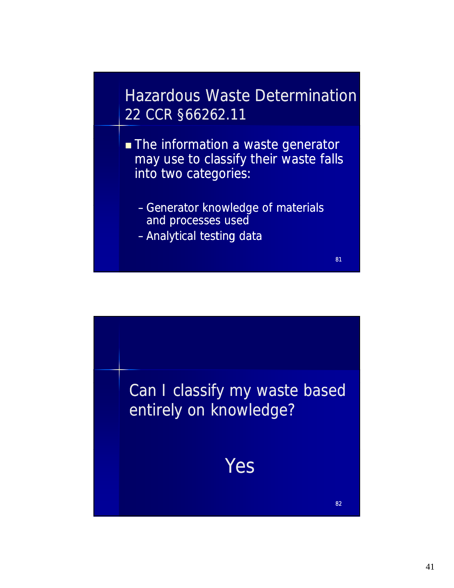Hazardous Waste Determination 22 CCR §66262.11

- **The information a waste generator** may use to classify their waste falls into two categories:
	- Generator knowledge of materials and processes used

81

– Analytical testing data

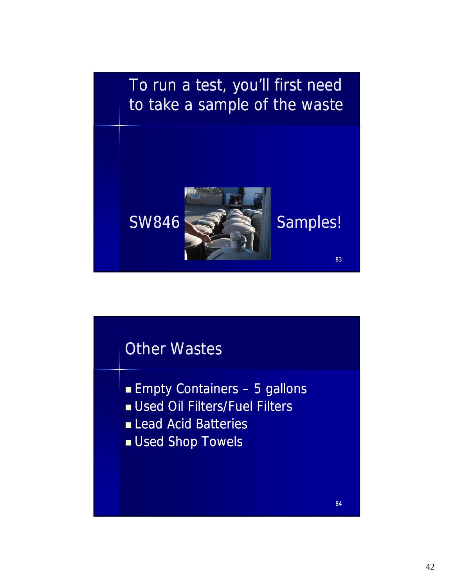

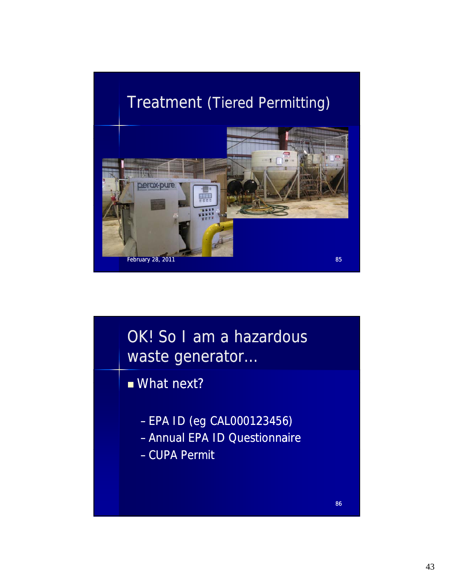# Treatment (Tiered Permitting)



OK! So I am a hazardous waste generator…

# $What$  next?

- EPA ID (eg CAL000123456)
- Annual EPA ID Questionnaire
- CUPA Permit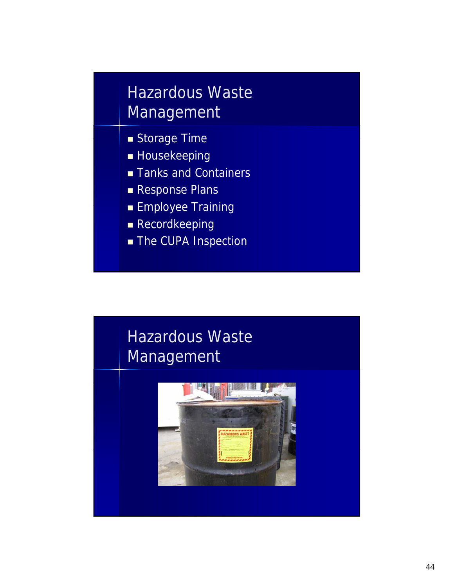# Hazardous Waste Management

- Storage Time
- Housekeeping
- **Tanks and Containers**
- **Response Plans**
- **Employee Training**
- **Recordkeeping**
- **The CUPA Inspection**

# Hazardous Waste Management

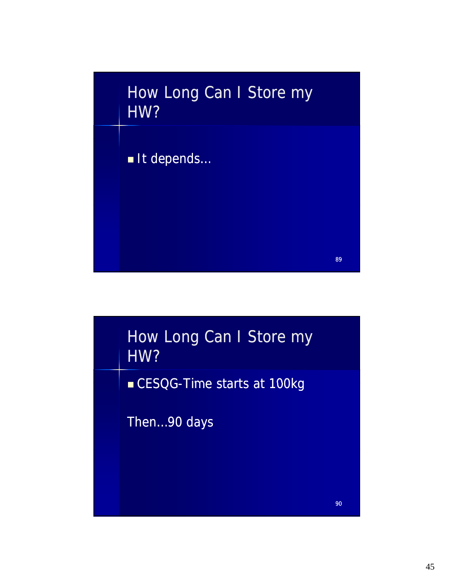

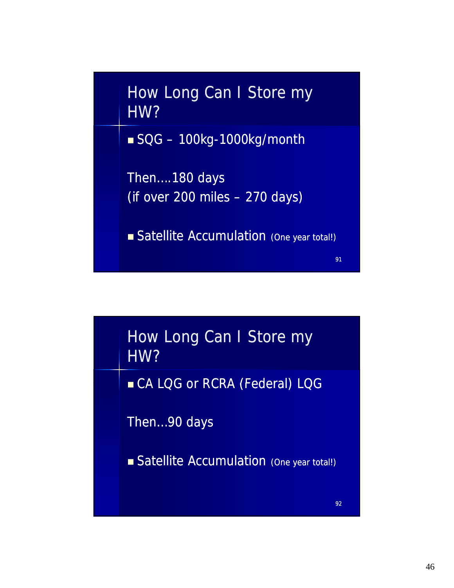

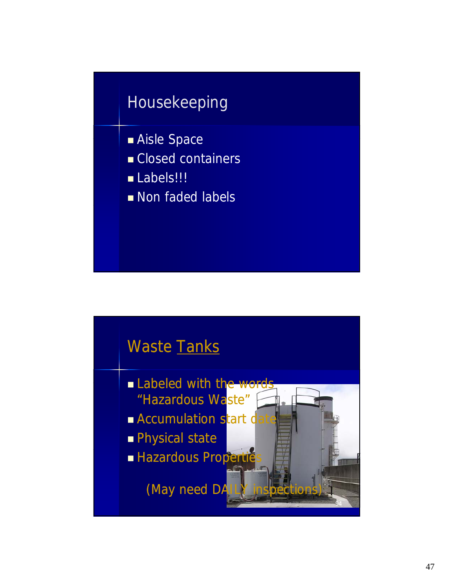# Housekeeping

- Aisle Space
- Closed containers
- Labels!!!
- Non faded labels

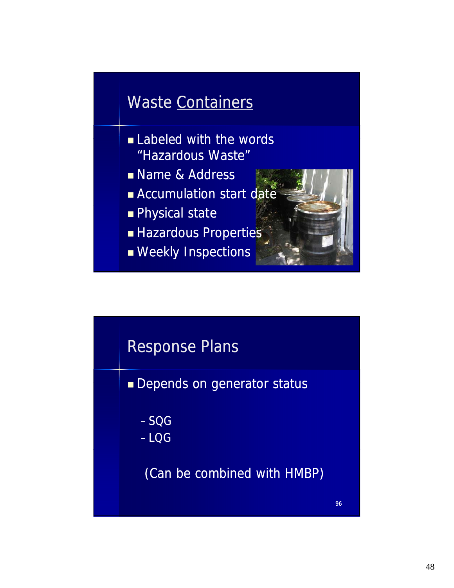# Waste Containers

- $\blacksquare$  Labeled with the words "Hazardous Waste"
- Name & Address
- **Accumulation start date**
- **Physical state**
- **Hazardous Properties**
- **Neekly Inspections**



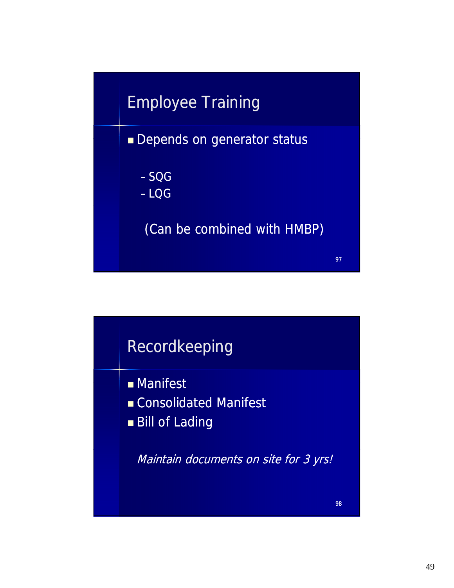